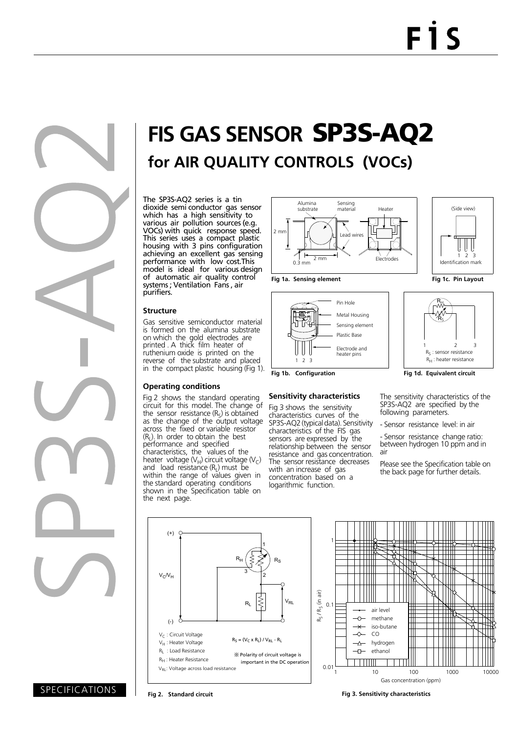

# **FIS GAS SENSOR** SP3S-AQ2 **for AIR QUALITY CONTROLS (VOCs)**

The SP3S-AQ2 series is a tin dioxide semi conductor gas sensor which has a high sensitivity to various air pollution sources (e.g. VOCs) with quick response speed. This series uses a compact plastic housing with 3 pins configuration achieving an excellent gas sensing performance with low cost.This model is ideal for various design of automatic air quality control systems ; Ventilation Fans , air purifiers.

#### **Structure**

Gas sensitive semiconductor material is formed on the alumina substrate on which the gold electrodes are printed . A thick film heater of ruthenium oxide is printed on the reverse of the substrate and placed in the compact plastic housing (Fig 1).

#### **Operating conditions**

Fig 2 shows the standard operating circuit for this model. The change of the sensor resistance  $(R<sub>S</sub>)$  is obtained as the change of the output voltage across the fixed or variable resistor  $(R<sub>1</sub>)$ . In order to obtain the best performance and specified characteristics, the values of the heater voltage ( $V_H$ ) circuit voltage ( $V_C$ ) and load resistance  $(R<sub>L</sub>)$  must be within the range of values given in the standard operating conditions shown in the Specification table on the next page.









#### **Sensitivity characteristics**

Fig 3 shows the sensitivity characteristics curves of the SP3S-AQ2 (typical data). Sensitivity characteristics of the FIS gas sensors are expressed by the relationship between the sensor resistance and gas concentration. The sensor resistance decreases with an increase of gas concentration based on a logarithmic function.





The sensitivity characteristics of the SP3S-AQ2 are specified by the following parameters.

- Sensor resistance level: in air

- Sensor resistance change ratio: between hydrogen 10 ppm and in air

Please see the Specification table on the back page for further details.



SPECIFICATIONS

**Fig 2. Standard circuit Fig 3. Sensitivity characteristics**